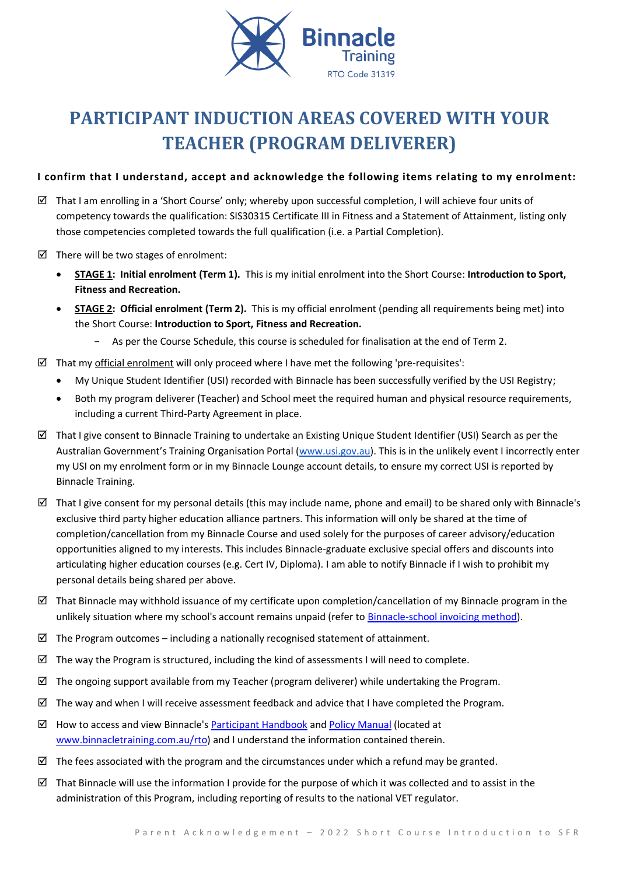

# **PARTICIPANT INDUCTION AREAS COVERED WITH YOUR TEACHER (PROGRAM DELIVERER)**

# **I confirm that I understand, accept and acknowledge the following items relating to my enrolment:**

- $\boxtimes$  That I am enrolling in a 'Short Course' only; whereby upon successful completion, I will achieve four units of competency towards the qualification: SIS30315 Certificate III in Fitness and a Statement of Attainment, listing only those competencies completed towards the full qualification (i.e. a Partial Completion).
- $\boxtimes$  There will be two stages of enrolment:
	- **STAGE 1: Initial enrolment (Term 1).** This is my initial enrolment into the Short Course: **Introduction to Sport, Fitness and Recreation.**
	- **STAGE 2: Official enrolment (Term 2).** This is my official enrolment (pending all requirements being met) into the Short Course: **Introduction to Sport, Fitness and Recreation.**
		- As per the Course Schedule, this course is scheduled for finalisation at the end of Term 2.
- $\boxtimes$  That my official enrolment will only proceed where I have met the following 'pre-requisites':
	- My Unique Student Identifier (USI) recorded with Binnacle has been successfully verified by the USI Registry;
	- Both my program deliverer (Teacher) and School meet the required human and physical resource requirements, including a current Third-Party Agreement in place.
- $\boxtimes$  That I give consent to Binnacle Training to undertake an Existing Unique Student Identifier (USI) Search as per the Australian Government's Training Organisation Portal ([www.usi.gov.au\)](http://www.usi.gov.au/). This is in the unlikely event I incorrectly enter my USI on my enrolment form or in my Binnacle Lounge account details, to ensure my correct USI is reported by Binnacle Training.
- $\boxtimes$  That I give consent for my personal details (this may include name, phone and email) to be shared only with Binnacle's exclusive third party higher education alliance partners. This information will only be shared at the time of completion/cancellation from my Binnacle Course and used solely for the purposes of career advisory/education opportunities aligned to my interests. This includes Binnacle-graduate exclusive special offers and discounts into articulating higher education courses (e.g. Cert IV, Diploma). I am able to notify Binnacle if I wish to prohibit my personal details being shared per above.
- $\boxtimes$  That Binnacle may withhold issuance of my certificate upon completion/cancellation of my Binnacle program in the unlikely situation where my school's account remains unpaid (refer t[o Binnacle-school invoicing method\)](http://www.binnacletraining.com.au/services-pricing.php).
- $\boxtimes$  The Program outcomes including a nationally recognised statement of attainment.
- $\boxtimes$  The way the Program is structured, including the kind of assessments I will need to complete.
- $\boxtimes$  The ongoing support available from my Teacher (program deliverer) while undertaking the Program.
- $\boxtimes$  The way and when I will receive assessment feedback and advice that I have completed the Program.
- $\boxtimes$  How to access and view Binnacle's [Participant Handbook](http://www.binnacletraining.com.au/rto.php) an[d Policy Manual](http://www.binnacletraining.com.au/rto.php) (located at [www.binnacletraining.com.au/rto\)](http://www.binnacletraining.com.au/rto) and I understand the information contained therein.
- $\boxtimes$  The fees associated with the program and the circumstances under which a refund may be granted.
- That Binnacle will use the information I provide for the purpose of which it was collected and to assist in the administration of this Program, including reporting of results to the national VET regulator.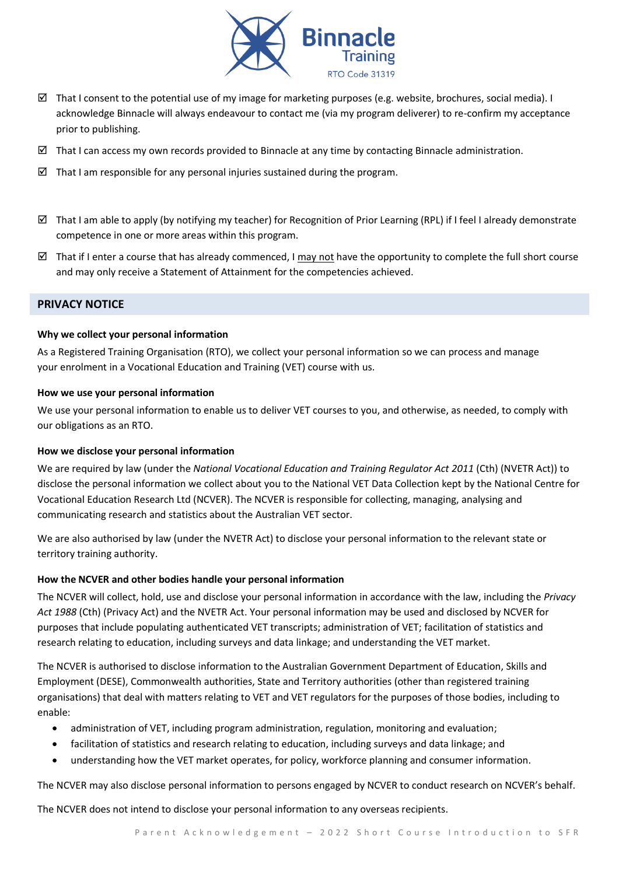

- $\boxtimes$  That I consent to the potential use of my image for marketing purposes (e.g. website, brochures, social media). I acknowledge Binnacle will always endeavour to contact me (via my program deliverer) to re-confirm my acceptance prior to publishing.
- $\boxtimes$  That I can access my own records provided to Binnacle at any time by contacting Binnacle administration.
- $\boxtimes$  That I am responsible for any personal injuries sustained during the program.
- $\boxtimes$  That I am able to apply (by notifying my teacher) for Recognition of Prior Learning (RPL) if I feel I already demonstrate competence in one or more areas within this program.
- That if I enter a course that has already commenced, I may not have the opportunity to complete the full short course and may only receive a Statement of Attainment for the competencies achieved.

# **PRIVACY NOTICE**

#### **Why we collect your personal information**

As a Registered Training Organisation (RTO), we collect your personal information so we can process and manage your enrolment in a Vocational Education and Training (VET) course with us.

#### **How we use your personal information**

We use your personal information to enable us to deliver VET courses to you, and otherwise, as needed, to comply with our obligations as an RTO.

# **How we disclose your personal information**

We are required by law (under the *National Vocational Education and Training Regulator Act 2011* (Cth) (NVETR Act)) to disclose the personal information we collect about you to the National VET Data Collection kept by the National Centre for Vocational Education Research Ltd (NCVER). The NCVER is responsible for collecting, managing, analysing and communicating research and statistics about the Australian VET sector.

We are also authorised by law (under the NVETR Act) to disclose your personal information to the relevant state or territory training authority.

# **How the NCVER and other bodies handle your personal information**

The NCVER will collect, hold, use and disclose your personal information in accordance with the law, including the *Privacy Act 1988* (Cth) (Privacy Act) and the NVETR Act. Your personal information may be used and disclosed by NCVER for purposes that include populating authenticated VET transcripts; administration of VET; facilitation of statistics and research relating to education, including surveys and data linkage; and understanding the VET market.

The NCVER is authorised to disclose information to the Australian Government Department of Education, Skills and Employment (DESE), Commonwealth authorities, State and Territory authorities (other than registered training organisations) that deal with matters relating to VET and VET regulators for the purposes of those bodies, including to enable:

- administration of VET, including program administration, regulation, monitoring and evaluation;
- facilitation of statistics and research relating to education, including surveys and data linkage; and
- understanding how the VET market operates, for policy, workforce planning and consumer information.

The NCVER may also disclose personal information to persons engaged by NCVER to conduct research on NCVER's behalf.

The NCVER does not intend to disclose your personal information to any overseas recipients.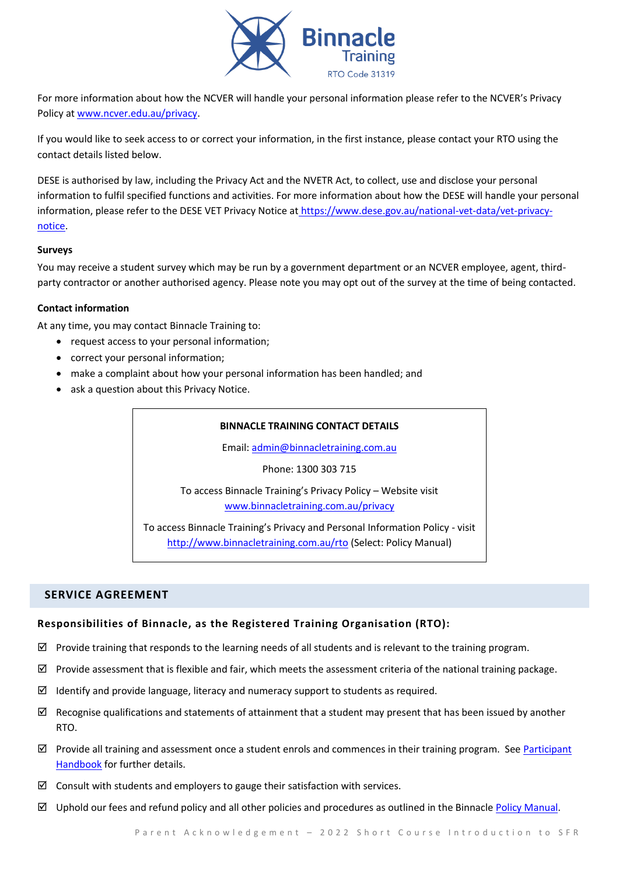

For more information about how the NCVER will handle your personal information please refer to the NCVER's Privacy Policy at [www.ncver.edu.au/privacy.](http://www.ncver.edu.au/privacy)

If you would like to seek access to or correct your information, in the first instance, please contact your RTO using the contact details listed below.

DESE is authorised by law, including the Privacy Act and the NVETR Act, to collect, use and disclose your personal information to fulfil specified functions and activities. For more information about how the DESE will handle your personal information, please refer to the DESE VET Privacy Notice at [https://www.dese.gov.au/national-vet-data/vet-privacy](https://www.dese.gov.au/national-vet-data/vet-privacy-notice)[notice.](https://www.dese.gov.au/national-vet-data/vet-privacy-notice)

#### **Surveys**

You may receive a student survey which may be run by a government department or an NCVER employee, agent, thirdparty contractor or another authorised agency. Please note you may opt out of the survey at the time of being contacted.

#### **Contact information**

At any time, you may contact Binnacle Training to:

- request access to your personal information;
- correct your personal information;
- make a complaint about how your personal information has been handled; and
- ask a question about this Privacy Notice.

#### **BINNACLE TRAINING CONTACT DETAILS**

Email: [admin@binnacletraining.com.au](mailto:admin@binnacletraining.com.au)

Phone: 1300 303 715

To access Binnacle Training's Privacy Policy – Website visit [www.binnacletraining.com.au/privacy](http://www.binnacletraining.com.au/privacy)

To access Binnacle Training's Privacy and Personal Information Policy - visit <http://www.binnacletraining.com.au/rto> (Select: Policy Manual)

# **SERVICE AGREEMENT**

# **Responsibilities of Binnacle, as the Registered Training Organisation (RTO):**

- $\boxtimes$  Provide training that responds to the learning needs of all students and is relevant to the training program.
- $\boxtimes$  Provide assessment that is flexible and fair, which meets the assessment criteria of the national training package.
- $\boxtimes$  Identify and provide language, literacy and numeracy support to students as required.
- $\boxtimes$  Recognise qualifications and statements of attainment that a student may present that has been issued by another RTO.
- $\boxtimes$  Provide all training and assessment once a student enrols and commences in their training program. See Participant [Handbook](http://www.binnacletraining.com.au/rto.php) for further details.
- $\boxtimes$  Consult with students and employers to gauge their satisfaction with services.
- $\boxtimes$  Uphold our fees and refund policy and all other policies and procedures as outlined in the Binnacle [Policy Manual.](http://www.binnacletraining.com.au/rto.php)